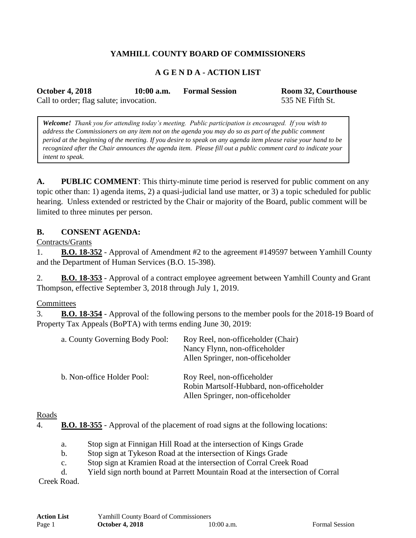# **YAMHILL COUNTY BOARD OF COMMISSIONERS**

## **A G E N D A - ACTION LIST**

**October 4, 2018 10:00 a.m. Formal Session Room 32, Courthouse**

Call to order; flag salute; invocation. 535 NE Fifth St.

*Welcome! Thank you for attending today's meeting. Public participation is encouraged. If you wish to address the Commissioners on any item not on the agenda you may do so as part of the public comment period at the beginning of the meeting. If you desire to speak on any agenda item please raise your hand to be recognized after the Chair announces the agenda item. Please fill out a public comment card to indicate your intent to speak.*

**A. PUBLIC COMMENT**: This thirty-minute time period is reserved for public comment on any topic other than: 1) agenda items, 2) a quasi-judicial land use matter, or 3) a topic scheduled for public hearing. Unless extended or restricted by the Chair or majority of the Board, public comment will be limited to three minutes per person.

#### **B. CONSENT AGENDA:**

Contracts/Grants

1. **B.O. 18-352** - Approval of Amendment #2 to the agreement #149597 between Yamhill County and the Department of Human Services (B.O. 15-398).

2. **B.O. 18-353** - Approval of a contract employee agreement between Yamhill County and Grant Thompson, effective September 3, 2018 through July 1, 2019.

**Committees** 

3. **B.O. 18-354** - Approval of the following persons to the member pools for the 2018-19 Board of Property Tax Appeals (BoPTA) with terms ending June 30, 2019:

| a. County Governing Body Pool: | Roy Reel, non-officeholder (Chair)<br>Nancy Flynn, non-officeholder<br>Allen Springer, non-officeholder    |
|--------------------------------|------------------------------------------------------------------------------------------------------------|
| b. Non-office Holder Pool:     | Roy Reel, non-officeholder<br>Robin Martsolf-Hubbard, non-officeholder<br>Allen Springer, non-officeholder |

#### Roads

4. **B.O. 18-355** - Approval of the placement of road signs at the following locations:

- a. Stop sign at Finnigan Hill Road at the intersection of Kings Grade
- b. Stop sign at Tykeson Road at the intersection of Kings Grade
- c. Stop sign at Kramien Road at the intersection of Corral Creek Road
- d. Yield sign north bound at Parrett Mountain Road at the intersection of Corral

Creek Road.